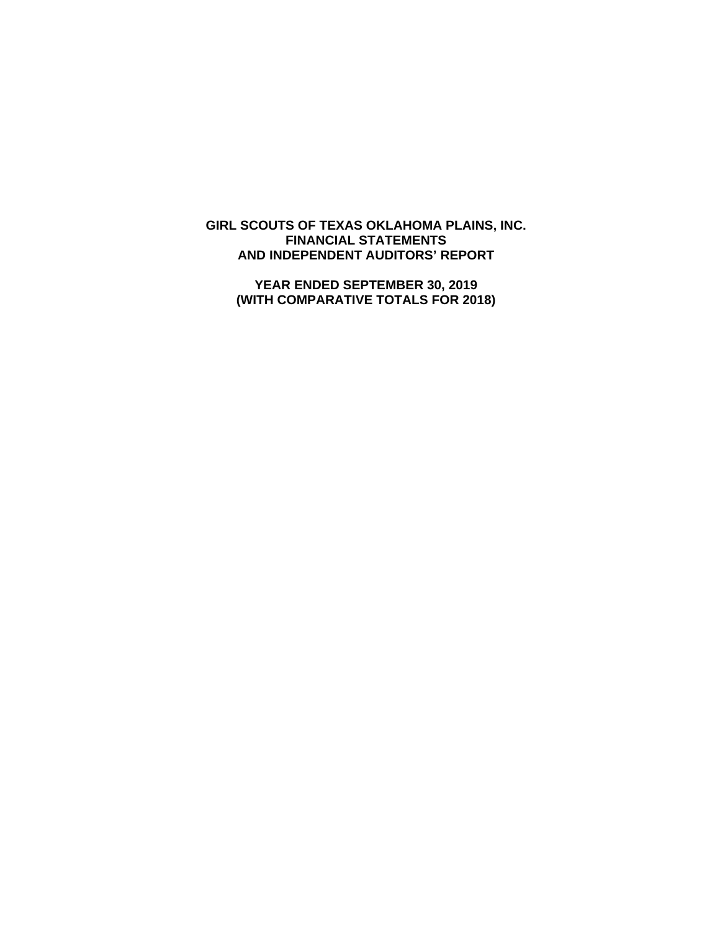## **GIRL SCOUTS OF TEXAS OKLAHOMA PLAINS, INC. FINANCIAL STATEMENTS AND INDEPENDENT AUDITORS' REPORT**

**YEAR ENDED SEPTEMBER 30, 2019 (WITH COMPARATIVE TOTALS FOR 2018)**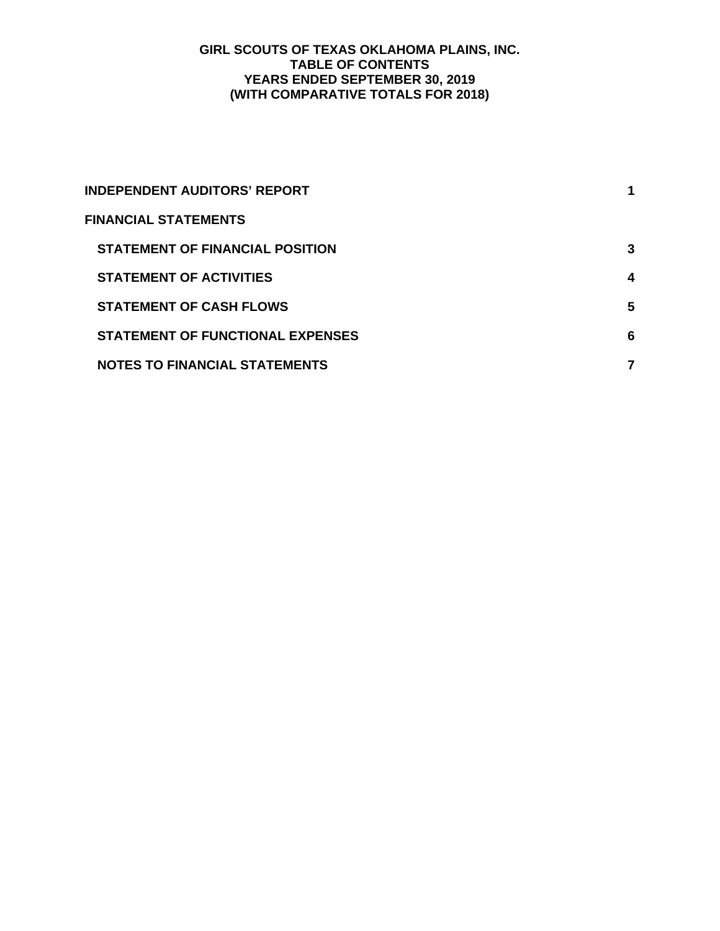## **GIRL SCOUTS OF TEXAS OKLAHOMA PLAINS, INC. TABLE OF CONTENTS YEARS ENDED SEPTEMBER 30, 2019 (WITH COMPARATIVE TOTALS FOR 2018)**

| <b>INDEPENDENT AUDITORS' REPORT</b>     |   |
|-----------------------------------------|---|
| <b>FINANCIAL STATEMENTS</b>             |   |
| <b>STATEMENT OF FINANCIAL POSITION</b>  | 3 |
| <b>STATEMENT OF ACTIVITIES</b>          | 4 |
| <b>STATEMENT OF CASH FLOWS</b>          | 5 |
| <b>STATEMENT OF FUNCTIONAL EXPENSES</b> | 6 |
| <b>NOTES TO FINANCIAL STATEMENTS</b>    |   |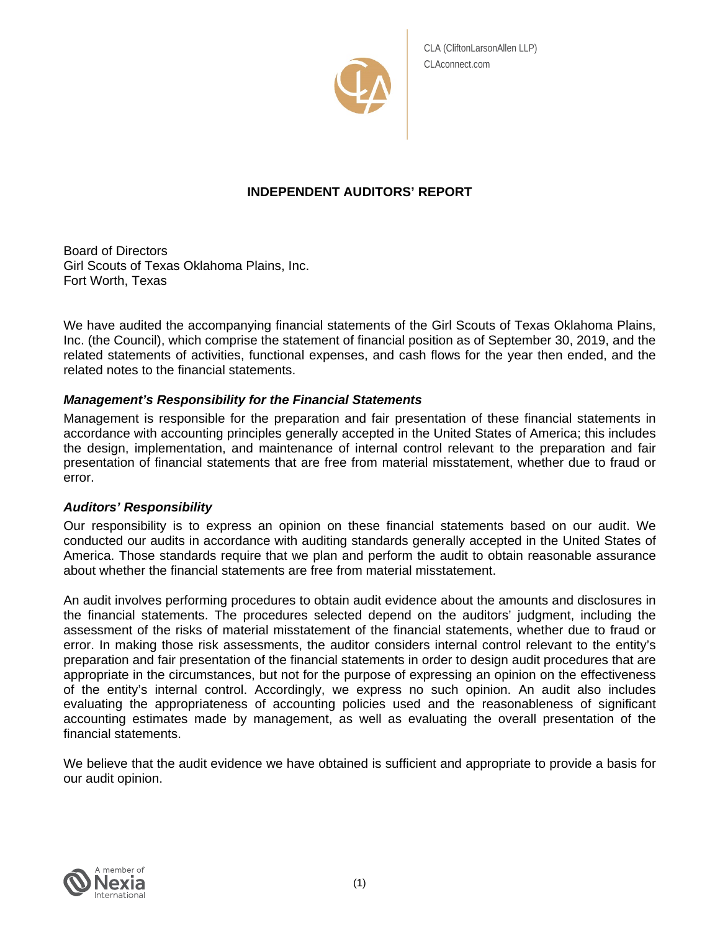CLA (CliftonLarsonAllen LLP) CLAconnect.com

# **INDEPENDENT AUDITORS' REPORT**

Board of Directors Girl Scouts of Texas Oklahoma Plains, Inc. Fort Worth, Texas

We have audited the accompanying financial statements of the Girl Scouts of Texas Oklahoma Plains, Inc. (the Council), which comprise the statement of financial position as of September 30, 2019, and the related statements of activities, functional expenses, and cash flows for the year then ended, and the related notes to the financial statements.

# *Management's Responsibility for the Financial Statements*

Management is responsible for the preparation and fair presentation of these financial statements in accordance with accounting principles generally accepted in the United States of America; this includes the design, implementation, and maintenance of internal control relevant to the preparation and fair presentation of financial statements that are free from material misstatement, whether due to fraud or error.

## *Auditors' Responsibility*

Our responsibility is to express an opinion on these financial statements based on our audit. We conducted our audits in accordance with auditing standards generally accepted in the United States of America. Those standards require that we plan and perform the audit to obtain reasonable assurance about whether the financial statements are free from material misstatement.

An audit involves performing procedures to obtain audit evidence about the amounts and disclosures in the financial statements. The procedures selected depend on the auditors' judgment, including the assessment of the risks of material misstatement of the financial statements, whether due to fraud or error. In making those risk assessments, the auditor considers internal control relevant to the entity's preparation and fair presentation of the financial statements in order to design audit procedures that are appropriate in the circumstances, but not for the purpose of expressing an opinion on the effectiveness of the entity's internal control. Accordingly, we express no such opinion. An audit also includes evaluating the appropriateness of accounting policies used and the reasonableness of significant accounting estimates made by management, as well as evaluating the overall presentation of the financial statements.

We believe that the audit evidence we have obtained is sufficient and appropriate to provide a basis for our audit opinion.

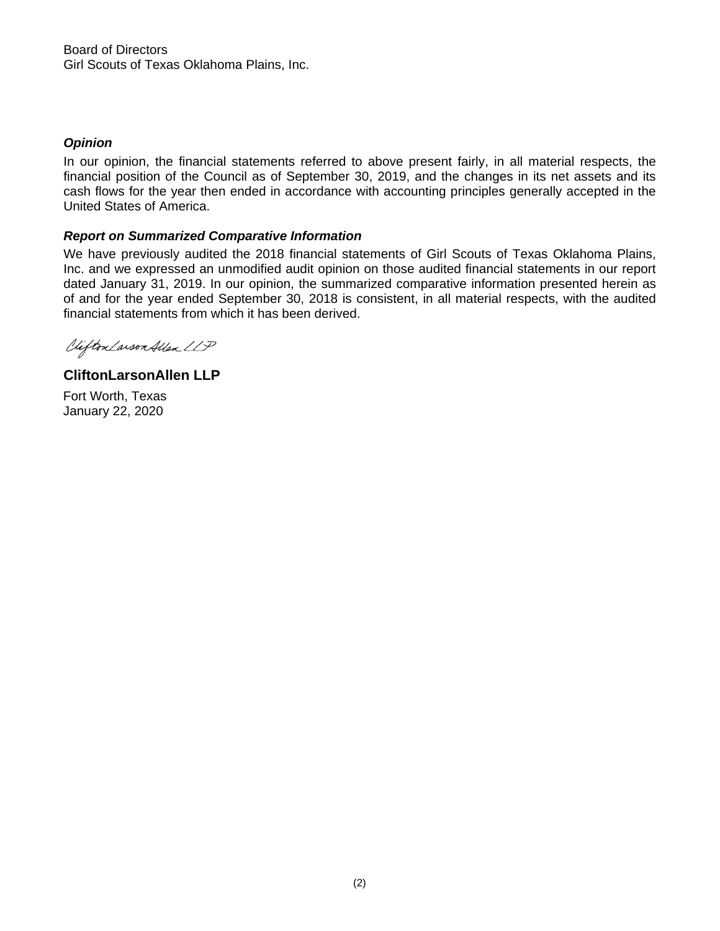## *Opinion*

In our opinion, the financial statements referred to above present fairly, in all material respects, the financial position of the Council as of September 30, 2019, and the changes in its net assets and its cash flows for the year then ended in accordance with accounting principles generally accepted in the United States of America.

## *Report on Summarized Comparative Information*

We have previously audited the 2018 financial statements of Girl Scouts of Texas Oklahoma Plains, Inc. and we expressed an unmodified audit opinion on those audited financial statements in our report dated January 31, 2019. In our opinion, the summarized comparative information presented herein as of and for the year ended September 30, 2018 is consistent, in all material respects, with the audited financial statements from which it has been derived.

Clifton Larson Allen LLP

**CliftonLarsonAllen LLP** 

Fort Worth, Texas January 22, 2020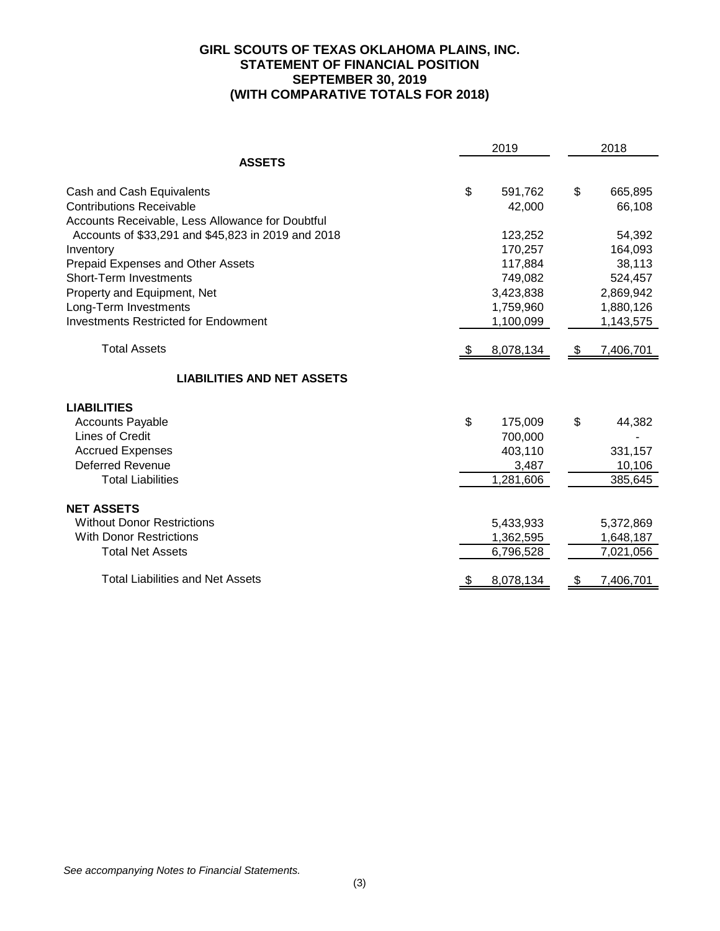|                                                    |    | 2018      |     |           |
|----------------------------------------------------|----|-----------|-----|-----------|
| <b>ASSETS</b>                                      |    |           |     |           |
| Cash and Cash Equivalents                          | \$ | 591,762   | \$  | 665,895   |
| <b>Contributions Receivable</b>                    |    | 42,000    |     | 66,108    |
| Accounts Receivable, Less Allowance for Doubtful   |    |           |     |           |
| Accounts of \$33,291 and \$45,823 in 2019 and 2018 |    | 123,252   |     | 54,392    |
| Inventory                                          |    | 170,257   |     | 164,093   |
| Prepaid Expenses and Other Assets                  |    | 117,884   |     | 38,113    |
| <b>Short-Term Investments</b>                      |    | 749,082   |     | 524,457   |
| Property and Equipment, Net                        |    | 3,423,838 |     | 2,869,942 |
| Long-Term Investments                              |    | 1,759,960 |     | 1,880,126 |
| <b>Investments Restricted for Endowment</b>        |    | 1,100,099 |     | 1,143,575 |
| <b>Total Assets</b>                                |    | 8,078,134 | -\$ | 7,406,701 |
| <b>LIABILITIES AND NET ASSETS</b>                  |    |           |     |           |
| <b>LIABILITIES</b>                                 |    |           |     |           |
| <b>Accounts Payable</b>                            | \$ | 175,009   | \$  | 44,382    |
| <b>Lines of Credit</b>                             |    | 700,000   |     |           |
| <b>Accrued Expenses</b>                            |    | 403,110   |     | 331,157   |
| <b>Deferred Revenue</b>                            |    | 3,487     |     | 10,106    |
| <b>Total Liabilities</b>                           |    | 1,281,606 |     | 385,645   |
| <b>NET ASSETS</b>                                  |    |           |     |           |
| <b>Without Donor Restrictions</b>                  |    | 5,433,933 |     | 5,372,869 |
| <b>With Donor Restrictions</b>                     |    | 1,362,595 |     | 1,648,187 |
| <b>Total Net Assets</b>                            |    | 6,796,528 |     | 7,021,056 |
| <b>Total Liabilities and Net Assets</b>            | \$ | 8,078,134 | \$  | 7,406,701 |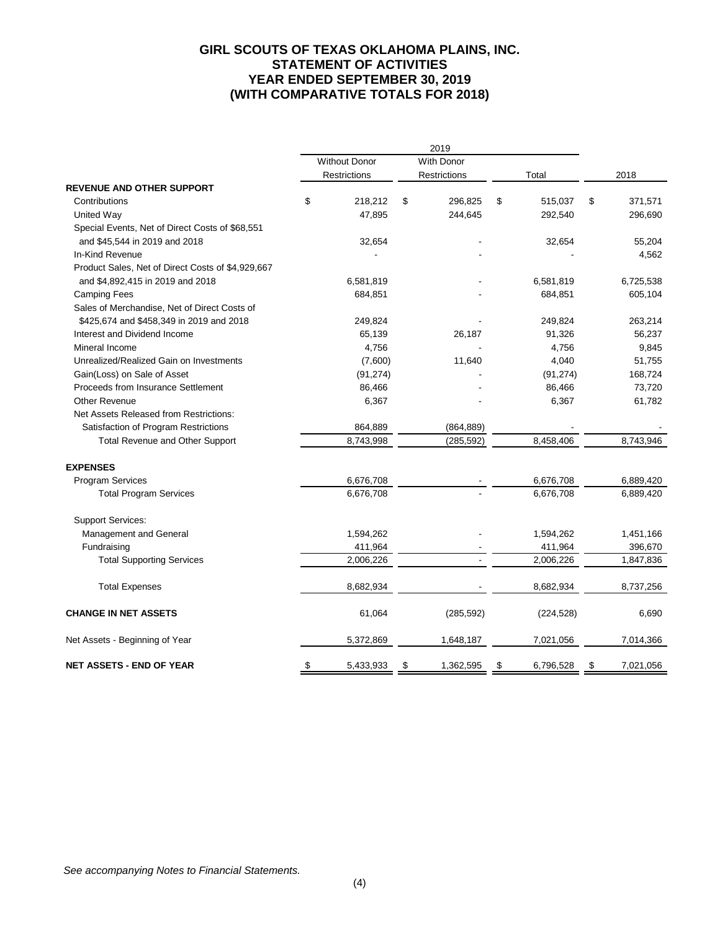## **GIRL SCOUTS OF TEXAS OKLAHOMA PLAINS, INC. STATEMENT OF ACTIVITIES YEAR ENDED SEPTEMBER 30, 2019 (WITH COMPARATIVE TOTALS FOR 2018)**

|                                                   |                      | 2019              |                 |                 |
|---------------------------------------------------|----------------------|-------------------|-----------------|-----------------|
|                                                   | <b>Without Donor</b> | <b>With Donor</b> |                 |                 |
|                                                   | <b>Restrictions</b>  | Restrictions      | Total           | 2018            |
| <b>REVENUE AND OTHER SUPPORT</b>                  |                      |                   |                 |                 |
| Contributions                                     | \$<br>218,212        | \$<br>296,825     | \$<br>515,037   | \$<br>371,571   |
| <b>United Way</b>                                 | 47,895               | 244,645           | 292,540         | 296,690         |
| Special Events, Net of Direct Costs of \$68,551   |                      |                   |                 |                 |
| and \$45,544 in 2019 and 2018                     | 32,654               |                   | 32,654          | 55,204          |
| In-Kind Revenue                                   |                      |                   |                 | 4,562           |
| Product Sales, Net of Direct Costs of \$4,929,667 |                      |                   |                 |                 |
| and \$4,892,415 in 2019 and 2018                  | 6,581,819            |                   | 6,581,819       | 6,725,538       |
| <b>Camping Fees</b>                               | 684,851              |                   | 684,851         | 605,104         |
| Sales of Merchandise, Net of Direct Costs of      |                      |                   |                 |                 |
| \$425,674 and \$458,349 in 2019 and 2018          | 249,824              |                   | 249,824         | 263,214         |
| Interest and Dividend Income                      | 65,139               | 26,187            | 91,326          | 56,237          |
| Mineral Income                                    | 4,756                |                   | 4,756           | 9,845           |
| Unrealized/Realized Gain on Investments           | (7,600)              | 11,640            | 4,040           | 51,755          |
| Gain(Loss) on Sale of Asset                       | (91, 274)            |                   | (91, 274)       | 168,724         |
| Proceeds from Insurance Settlement                | 86,466               |                   | 86,466          | 73,720          |
| <b>Other Revenue</b>                              | 6,367                |                   | 6,367           | 61,782          |
| Net Assets Released from Restrictions:            |                      |                   |                 |                 |
| Satisfaction of Program Restrictions              | 864,889              | (864, 889)        |                 |                 |
| <b>Total Revenue and Other Support</b>            | 8,743,998            | (285, 592)        | 8,458,406       | 8,743,946       |
| <b>EXPENSES</b>                                   |                      |                   |                 |                 |
| Program Services                                  | 6,676,708            |                   | 6,676,708       | 6,889,420       |
| <b>Total Program Services</b>                     | 6,676,708            |                   | 6,676,708       | 6,889,420       |
| <b>Support Services:</b>                          |                      |                   |                 |                 |
| Management and General                            | 1,594,262            |                   | 1,594,262       | 1,451,166       |
| Fundraising                                       | 411,964              |                   | 411,964         | 396,670         |
| <b>Total Supporting Services</b>                  | 2,006,226            |                   | 2,006,226       | 1,847,836       |
| <b>Total Expenses</b>                             | 8,682,934            |                   | 8,682,934       | 8,737,256       |
| <b>CHANGE IN NET ASSETS</b>                       | 61,064               | (285, 592)        | (224, 528)      | 6,690           |
| Net Assets - Beginning of Year                    | 5,372,869            | 1,648,187         | 7,021,056       | 7,014,366       |
| <b>NET ASSETS - END OF YEAR</b>                   | \$<br>5,433,933      | \$<br>1,362,595   | \$<br>6,796,528 | \$<br>7,021,056 |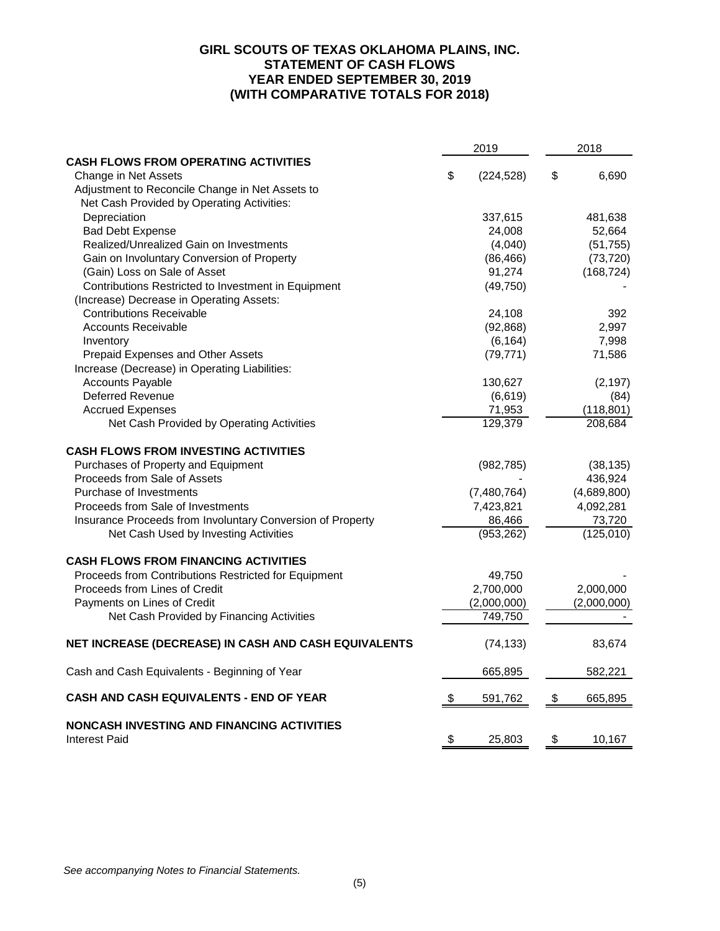## **GIRL SCOUTS OF TEXAS OKLAHOMA PLAINS, INC. STATEMENT OF CASH FLOWS YEAR ENDED SEPTEMBER 30, 2019 (WITH COMPARATIVE TOTALS FOR 2018)**

|                                                             |    | 2019        | 2018          |
|-------------------------------------------------------------|----|-------------|---------------|
| <b>CASH FLOWS FROM OPERATING ACTIVITIES</b>                 |    |             |               |
| Change in Net Assets                                        | \$ | (224, 528)  | \$<br>6,690   |
| Adjustment to Reconcile Change in Net Assets to             |    |             |               |
| Net Cash Provided by Operating Activities:                  |    |             |               |
| Depreciation                                                |    | 337,615     | 481,638       |
| <b>Bad Debt Expense</b>                                     |    | 24,008      | 52,664        |
| Realized/Unrealized Gain on Investments                     |    | (4,040)     | (51, 755)     |
| Gain on Involuntary Conversion of Property                  |    | (86, 466)   | (73, 720)     |
| (Gain) Loss on Sale of Asset                                |    | 91,274      | (168, 724)    |
| Contributions Restricted to Investment in Equipment         |    | (49, 750)   |               |
| (Increase) Decrease in Operating Assets:                    |    |             |               |
| <b>Contributions Receivable</b>                             |    | 24,108      | 392           |
| <b>Accounts Receivable</b>                                  |    | (92, 868)   | 2,997         |
| Inventory                                                   |    | (6, 164)    | 7,998         |
| Prepaid Expenses and Other Assets                           |    | (79, 771)   | 71,586        |
| Increase (Decrease) in Operating Liabilities:               |    |             |               |
| <b>Accounts Payable</b>                                     |    | 130,627     | (2, 197)      |
| Deferred Revenue                                            |    | (6,619)     | (84)          |
| <b>Accrued Expenses</b>                                     |    | 71,953      | (118, 801)    |
| Net Cash Provided by Operating Activities                   |    | 129,379     | 208,684       |
| <b>CASH FLOWS FROM INVESTING ACTIVITIES</b>                 |    |             |               |
| Purchases of Property and Equipment                         |    | (982, 785)  | (38, 135)     |
| Proceeds from Sale of Assets                                |    |             | 436,924       |
| Purchase of Investments                                     |    | (7,480,764) | (4,689,800)   |
| Proceeds from Sale of Investments                           |    | 7,423,821   | 4,092,281     |
| Insurance Proceeds from Involuntary Conversion of Property  |    | 86,466      | 73,720        |
| Net Cash Used by Investing Activities                       |    | (953, 262)  | (125,010)     |
| <b>CASH FLOWS FROM FINANCING ACTIVITIES</b>                 |    |             |               |
| Proceeds from Contributions Restricted for Equipment        |    | 49,750      |               |
| Proceeds from Lines of Credit                               |    | 2,700,000   | 2,000,000     |
| Payments on Lines of Credit                                 |    | (2,000,000) | (2,000,000)   |
| Net Cash Provided by Financing Activities                   |    | 749,750     |               |
| NET INCREASE (DECREASE) IN CASH AND CASH EQUIVALENTS        |    | (74, 133)   | 83,674        |
| Cash and Cash Equivalents - Beginning of Year               |    | 665,895     | 582,221       |
| <b>CASH AND CASH EQUIVALENTS - END OF YEAR</b>              | S  | 591,762     | \$<br>665,895 |
| NONCASH INVESTING AND FINANCING ACTIVITIES<br>Interest Paid | \$ | 25.803      | \$<br>10,167  |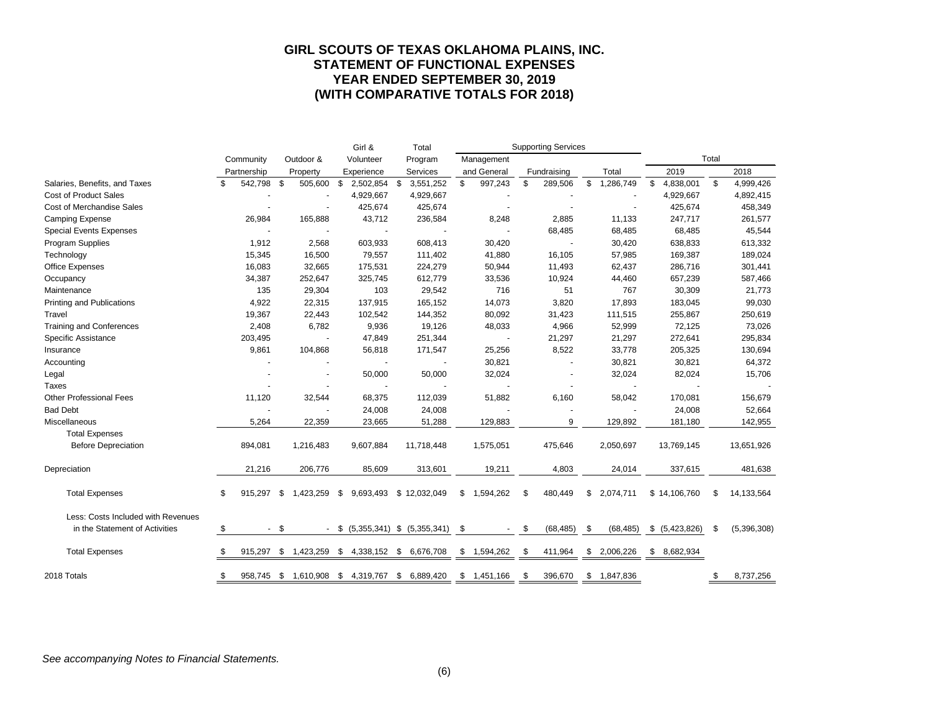## **GIRL SCOUTS OF TEXAS OKLAHOMA PLAINS, INC. STATEMENT OF FUNCTIONAL EXPENSES YEAR ENDED SEPTEMBER 30, 2019 (WITH COMPARATIVE TOTALS FOR 2018)**

|                                                                      |                  |      |              | Girl &          |     | Total                             | <b>Supporting Services</b> |                          |                 |     |           |    |                |       |             |
|----------------------------------------------------------------------|------------------|------|--------------|-----------------|-----|-----------------------------------|----------------------------|--------------------------|-----------------|-----|-----------|----|----------------|-------|-------------|
|                                                                      | Community        |      | Outdoor &    | Volunteer       |     | Program                           |                            | Management               |                 |     |           |    |                | Total |             |
|                                                                      | Partnership      |      | Property     | Experience      |     | Services                          |                            | and General              | Fundraising     |     | Total     |    | 2019           |       | 2018        |
| Salaries, Benefits, and Taxes                                        | 542,798 \$       |      | 505,600      | \$<br>2,502,854 | -SS | 3,551,252                         | \$                         | 997,243                  | \$<br>289,506   | \$  | 1,286,749 | \$ | 4,838,001      | \$    | 4,999,426   |
| <b>Cost of Product Sales</b>                                         |                  |      |              | 4,929,667       |     | 4,929,667                         |                            |                          |                 |     |           |    | 4,929,667      |       | 4,892,415   |
| Cost of Merchandise Sales                                            |                  |      |              | 425,674         |     | 425,674                           |                            | $\overline{\phantom{a}}$ |                 |     |           |    | 425,674        |       | 458,349     |
| <b>Camping Expense</b>                                               | 26,984           |      | 165,888      | 43,712          |     | 236,584                           |                            | 8,248                    | 2,885           |     | 11,133    |    | 247,717        |       | 261,577     |
| <b>Special Events Expenses</b>                                       |                  |      |              |                 |     |                                   |                            |                          | 68,485          |     | 68,485    |    | 68,485         |       | 45,544      |
| <b>Program Supplies</b>                                              | 1,912            |      | 2,568        | 603,933         |     | 608,413                           |                            | 30,420                   |                 |     | 30,420    |    | 638,833        |       | 613,332     |
| Technology                                                           | 15,345           |      | 16,500       | 79,557          |     | 111,402                           |                            | 41,880                   | 16,105          |     | 57,985    |    | 169,387        |       | 189,024     |
| Office Expenses                                                      | 16,083           |      | 32,665       | 175,531         |     | 224,279                           |                            | 50,944                   | 11,493          |     | 62,437    |    | 286,716        |       | 301,441     |
| Occupancy                                                            | 34,387           |      | 252,647      | 325,745         |     | 612,779                           |                            | 33,536                   | 10,924          |     | 44,460    |    | 657,239        |       | 587,466     |
| Maintenance                                                          | 135              |      | 29,304       | 103             |     | 29,542                            |                            | 716                      | 51              |     | 767       |    | 30,309         |       | 21,773      |
| Printing and Publications                                            | 4,922            |      | 22,315       | 137,915         |     | 165,152                           |                            | 14,073                   | 3,820           |     | 17,893    |    | 183,045        |       | 99,030      |
| Travel                                                               | 19,367           |      | 22,443       | 102,542         |     | 144,352                           |                            | 80,092                   | 31,423          |     | 111,515   |    | 255,867        |       | 250,619     |
| <b>Training and Conferences</b>                                      | 2,408            |      | 6,782        | 9,936           |     | 19,126                            |                            | 48,033                   | 4,966           |     | 52,999    |    | 72,125         |       | 73,026      |
| Specific Assistance                                                  | 203,495          |      |              | 47,849          |     | 251,344                           |                            |                          | 21,297          |     | 21,297    |    | 272,641        |       | 295,834     |
| Insurance                                                            | 9,861            |      | 104,868      | 56,818          |     | 171,547                           |                            | 25,256                   | 8,522           |     | 33,778    |    | 205,325        |       | 130,694     |
| Accounting                                                           |                  |      |              |                 |     |                                   |                            | 30,821                   |                 |     | 30,821    |    | 30,821         |       | 64,372      |
| Legal                                                                |                  |      |              | 50,000          |     | 50,000                            |                            | 32,024                   |                 |     | 32,024    |    | 82,024         |       | 15,706      |
| Taxes                                                                |                  |      |              |                 |     |                                   |                            |                          |                 |     |           |    |                |       |             |
| <b>Other Professional Fees</b>                                       | 11,120           |      | 32,544       | 68,375          |     | 112,039                           |                            | 51,882                   | 6,160           |     | 58,042    |    | 170,081        |       | 156,679     |
| <b>Bad Debt</b>                                                      |                  |      |              | 24,008          |     | 24,008                            |                            |                          |                 |     |           |    | 24,008         |       | 52,664      |
| Miscellaneous                                                        | 5,264            |      | 22,359       | 23,665          |     | 51,288                            |                            | 129,883                  | 9               |     | 129,892   |    | 181,180        |       | 142,955     |
| <b>Total Expenses</b>                                                |                  |      |              |                 |     |                                   |                            |                          |                 |     |           |    |                |       |             |
| <b>Before Depreciation</b>                                           | 894,081          |      | 1,216,483    | 9,607,884       |     | 11,718,448                        |                            | 1,575,051                | 475,646         |     | 2,050,697 |    | 13,769,145     |       | 13,651,926  |
| Depreciation                                                         | 21,216           |      | 206,776      | 85,609          |     | 313,601                           |                            | 19,211                   | 4,803           |     | 24,014    |    | 337,615        |       | 481,638     |
| <b>Total Expenses</b>                                                | \$<br>915,297    | S    | 1,423,259    | \$<br>9,693,493 |     | \$12,032,049                      | \$                         | 1,594,262                | \$<br>480,449   | \$  | 2,074,711 |    | \$14,106,760   | \$    | 14,133,564  |
| Less: Costs Included with Revenues<br>in the Statement of Activities | \$               | - \$ |              |                 |     | $-$ \$ (5,355,341) \$ (5,355,341) | -\$                        | $\overline{\phantom{a}}$ | \$<br>(68, 485) | -\$ | (68, 485) |    | \$ (5,423,826) | \$    | (5,396,308) |
| <b>Total Expenses</b>                                                | 915,297          | - \$ | 1,423,259 \$ | 4,338,152 \$    |     | 6,676,708                         | \$                         | 1,594,262                | \$<br>411,964   | \$  | 2,006,226 | \$ | 8,682,934      |       |             |
| 2018 Totals                                                          | \$<br>958,745 \$ |      | 1,610,908    | \$<br>4,319,767 | \$  | 6,889,420                         | \$                         | 1,451,166                | \$<br>396,670   | \$  | 1,847,836 |    |                | \$    | 8,737,256   |

*See accompanying Notes to Financial Statements.*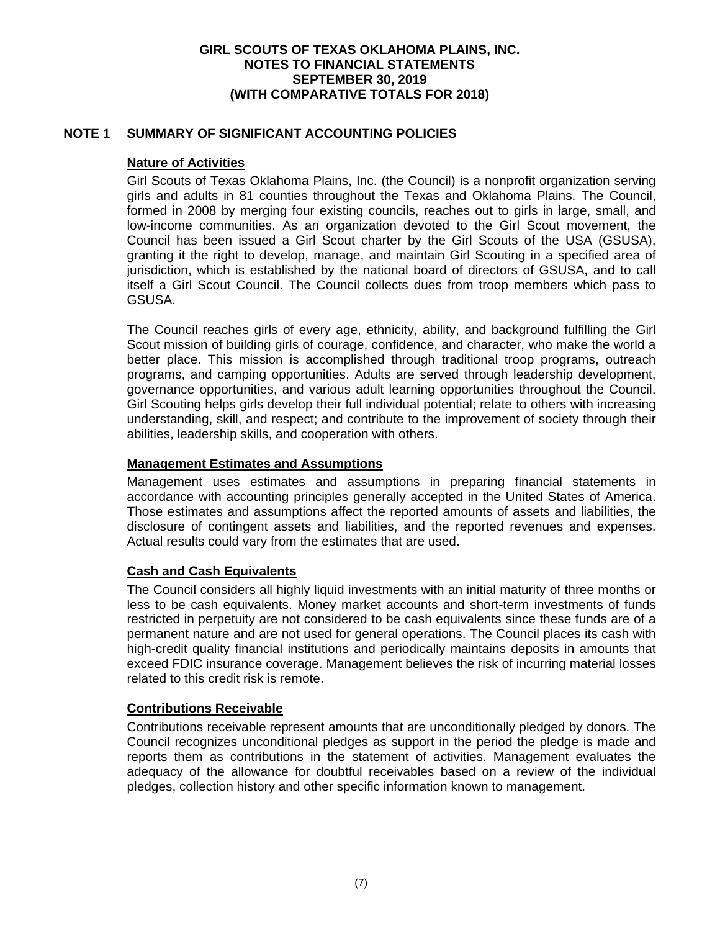## **NOTE 1 SUMMARY OF SIGNIFICANT ACCOUNTING POLICIES**

#### **Nature of Activities**

Girl Scouts of Texas Oklahoma Plains, Inc. (the Council) is a nonprofit organization serving girls and adults in 81 counties throughout the Texas and Oklahoma Plains. The Council, formed in 2008 by merging four existing councils, reaches out to girls in large, small, and low-income communities. As an organization devoted to the Girl Scout movement, the Council has been issued a Girl Scout charter by the Girl Scouts of the USA (GSUSA), granting it the right to develop, manage, and maintain Girl Scouting in a specified area of jurisdiction, which is established by the national board of directors of GSUSA, and to call itself a Girl Scout Council. The Council collects dues from troop members which pass to GSUSA.

The Council reaches girls of every age, ethnicity, ability, and background fulfilling the Girl Scout mission of building girls of courage, confidence, and character, who make the world a better place. This mission is accomplished through traditional troop programs, outreach programs, and camping opportunities. Adults are served through leadership development, governance opportunities, and various adult learning opportunities throughout the Council. Girl Scouting helps girls develop their full individual potential; relate to others with increasing understanding, skill, and respect; and contribute to the improvement of society through their abilities, leadership skills, and cooperation with others.

## **Management Estimates and Assumptions**

Management uses estimates and assumptions in preparing financial statements in accordance with accounting principles generally accepted in the United States of America. Those estimates and assumptions affect the reported amounts of assets and liabilities, the disclosure of contingent assets and liabilities, and the reported revenues and expenses. Actual results could vary from the estimates that are used.

#### **Cash and Cash Equivalents**

The Council considers all highly liquid investments with an initial maturity of three months or less to be cash equivalents. Money market accounts and short-term investments of funds restricted in perpetuity are not considered to be cash equivalents since these funds are of a permanent nature and are not used for general operations. The Council places its cash with high-credit quality financial institutions and periodically maintains deposits in amounts that exceed FDIC insurance coverage. Management believes the risk of incurring material losses related to this credit risk is remote.

#### **Contributions Receivable**

Contributions receivable represent amounts that are unconditionally pledged by donors. The Council recognizes unconditional pledges as support in the period the pledge is made and reports them as contributions in the statement of activities. Management evaluates the adequacy of the allowance for doubtful receivables based on a review of the individual pledges, collection history and other specific information known to management.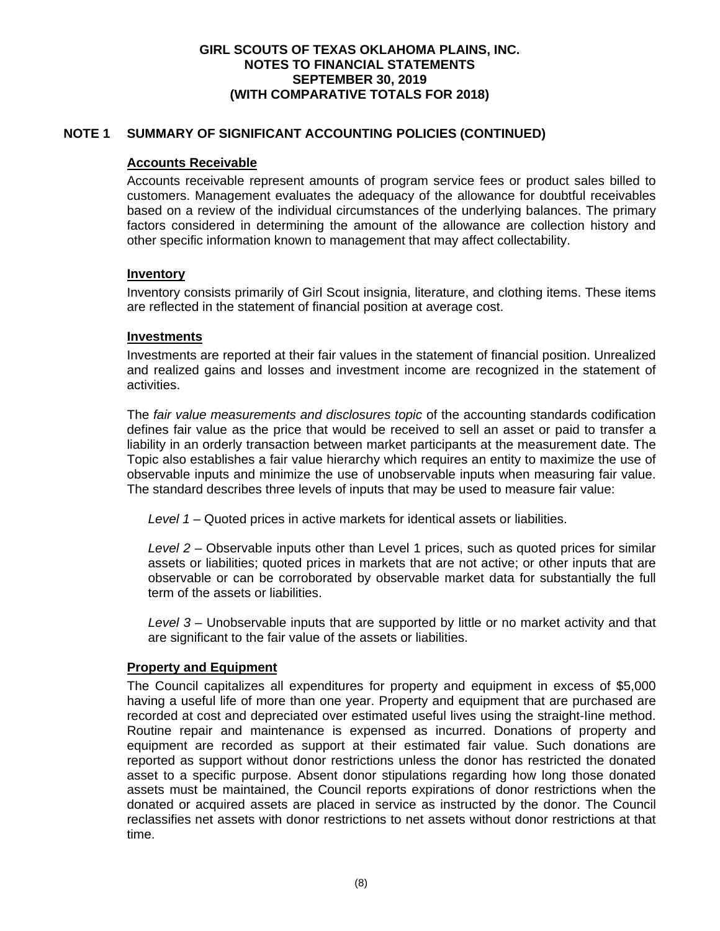## **NOTE 1 SUMMARY OF SIGNIFICANT ACCOUNTING POLICIES (CONTINUED)**

#### **Accounts Receivable**

Accounts receivable represent amounts of program service fees or product sales billed to customers. Management evaluates the adequacy of the allowance for doubtful receivables based on a review of the individual circumstances of the underlying balances. The primary factors considered in determining the amount of the allowance are collection history and other specific information known to management that may affect collectability.

#### **Inventory**

Inventory consists primarily of Girl Scout insignia, literature, and clothing items. These items are reflected in the statement of financial position at average cost.

#### **Investments**

Investments are reported at their fair values in the statement of financial position. Unrealized and realized gains and losses and investment income are recognized in the statement of activities.

The *fair value measurements and disclosures topic* of the accounting standards codification defines fair value as the price that would be received to sell an asset or paid to transfer a liability in an orderly transaction between market participants at the measurement date. The Topic also establishes a fair value hierarchy which requires an entity to maximize the use of observable inputs and minimize the use of unobservable inputs when measuring fair value. The standard describes three levels of inputs that may be used to measure fair value:

*Level 1* – Quoted prices in active markets for identical assets or liabilities.

*Level 2* – Observable inputs other than Level 1 prices, such as quoted prices for similar assets or liabilities; quoted prices in markets that are not active; or other inputs that are observable or can be corroborated by observable market data for substantially the full term of the assets or liabilities.

*Level 3* – Unobservable inputs that are supported by little or no market activity and that are significant to the fair value of the assets or liabilities.

## **Property and Equipment**

The Council capitalizes all expenditures for property and equipment in excess of \$5,000 having a useful life of more than one year. Property and equipment that are purchased are recorded at cost and depreciated over estimated useful lives using the straight-Iine method. Routine repair and maintenance is expensed as incurred. Donations of property and equipment are recorded as support at their estimated fair value. Such donations are reported as support without donor restrictions unless the donor has restricted the donated asset to a specific purpose. Absent donor stipulations regarding how long those donated assets must be maintained, the Council reports expirations of donor restrictions when the donated or acquired assets are placed in service as instructed by the donor. The Council reclassifies net assets with donor restrictions to net assets without donor restrictions at that time.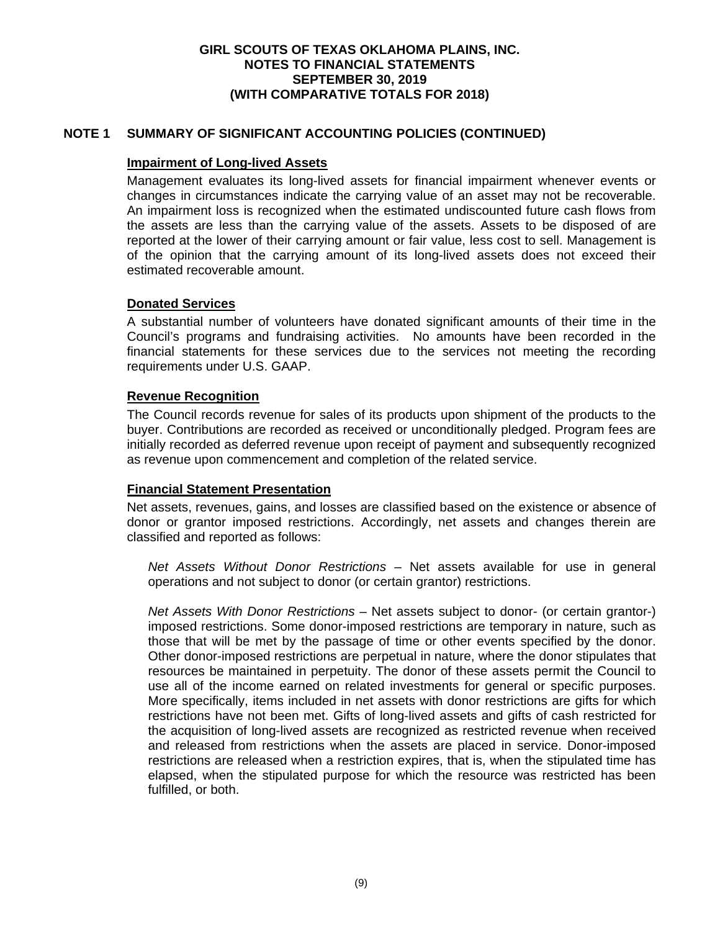## **NOTE 1 SUMMARY OF SIGNIFICANT ACCOUNTING POLICIES (CONTINUED)**

#### **Impairment of Long-lived Assets**

Management evaluates its long-lived assets for financial impairment whenever events or changes in circumstances indicate the carrying value of an asset may not be recoverable. An impairment loss is recognized when the estimated undiscounted future cash flows from the assets are less than the carrying value of the assets. Assets to be disposed of are reported at the lower of their carrying amount or fair value, less cost to sell. Management is of the opinion that the carrying amount of its long-lived assets does not exceed their estimated recoverable amount.

#### **Donated Services**

A substantial number of volunteers have donated significant amounts of their time in the Council's programs and fundraising activities. No amounts have been recorded in the financial statements for these services due to the services not meeting the recording requirements under U.S. GAAP.

## **Revenue Recognition**

The Council records revenue for sales of its products upon shipment of the products to the buyer. Contributions are recorded as received or unconditionally pledged. Program fees are initially recorded as deferred revenue upon receipt of payment and subsequently recognized as revenue upon commencement and completion of the related service.

#### **Financial Statement Presentation**

Net assets, revenues, gains, and losses are classified based on the existence or absence of donor or grantor imposed restrictions. Accordingly, net assets and changes therein are classified and reported as follows:

*Net Assets Without Donor Restrictions* – Net assets available for use in general operations and not subject to donor (or certain grantor) restrictions.

*Net Assets With Donor Restrictions* – Net assets subject to donor- (or certain grantor-) imposed restrictions. Some donor-imposed restrictions are temporary in nature, such as those that will be met by the passage of time or other events specified by the donor. Other donor-imposed restrictions are perpetual in nature, where the donor stipulates that resources be maintained in perpetuity. The donor of these assets permit the Council to use all of the income earned on related investments for general or specific purposes. More specifically, items included in net assets with donor restrictions are gifts for which restrictions have not been met. Gifts of long-lived assets and gifts of cash restricted for the acquisition of long-lived assets are recognized as restricted revenue when received and released from restrictions when the assets are placed in service. Donor-imposed restrictions are released when a restriction expires, that is, when the stipulated time has elapsed, when the stipulated purpose for which the resource was restricted has been fulfilled, or both.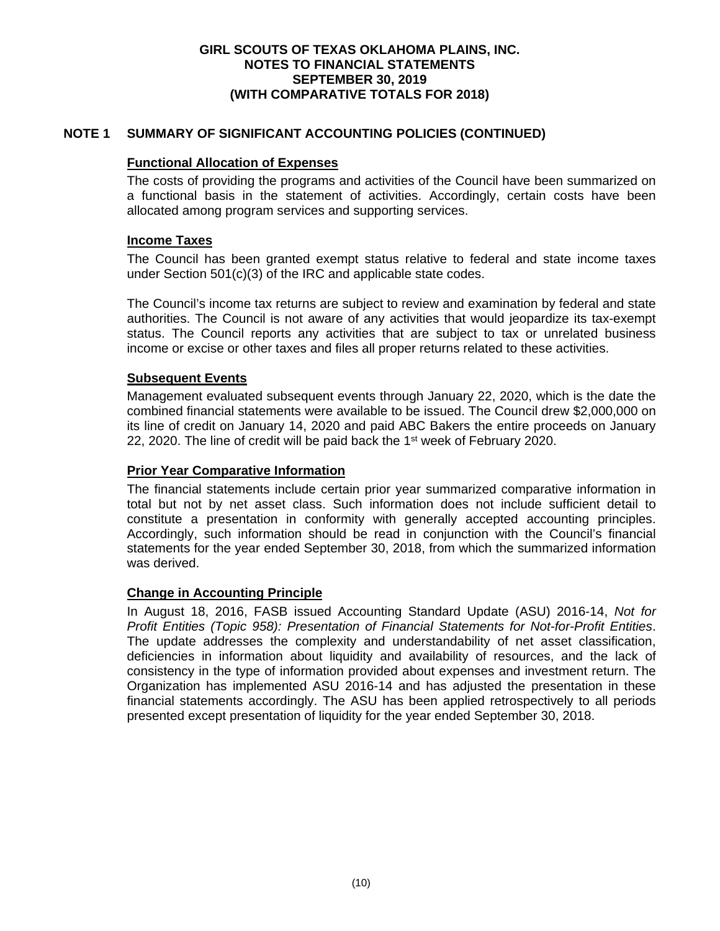## **NOTE 1 SUMMARY OF SIGNIFICANT ACCOUNTING POLICIES (CONTINUED)**

#### **Functional Allocation of Expenses**

The costs of providing the programs and activities of the Council have been summarized on a functional basis in the statement of activities. Accordingly, certain costs have been allocated among program services and supporting services.

## **Income Taxes**

The Council has been granted exempt status relative to federal and state income taxes under Section 501(c)(3) of the IRC and applicable state codes.

The Council's income tax returns are subject to review and examination by federal and state authorities. The Council is not aware of any activities that would jeopardize its tax-exempt status. The Council reports any activities that are subject to tax or unrelated business income or excise or other taxes and files all proper returns related to these activities.

## **Subsequent Events**

Management evaluated subsequent events through January 22, 2020, which is the date the combined financial statements were available to be issued. The Council drew \$2,000,000 on its line of credit on January 14, 2020 and paid ABC Bakers the entire proceeds on January 22, 2020. The line of credit will be paid back the 1st week of February 2020.

#### **Prior Year Comparative Information**

The financial statements include certain prior year summarized comparative information in total but not by net asset class. Such information does not include sufficient detail to constitute a presentation in conformity with generally accepted accounting principles. Accordingly, such information should be read in conjunction with the Council's financial statements for the year ended September 30, 2018, from which the summarized information was derived.

#### **Change in Accounting Principle**

In August 18, 2016, FASB issued Accounting Standard Update (ASU) 2016-14, *Not for Profit Entities (Topic 958): Presentation of Financial Statements for Not-for-Profit Entities*. The update addresses the complexity and understandability of net asset classification, deficiencies in information about liquidity and availability of resources, and the lack of consistency in the type of information provided about expenses and investment return. The Organization has implemented ASU 2016-14 and has adjusted the presentation in these financial statements accordingly. The ASU has been applied retrospectively to all periods presented except presentation of liquidity for the year ended September 30, 2018.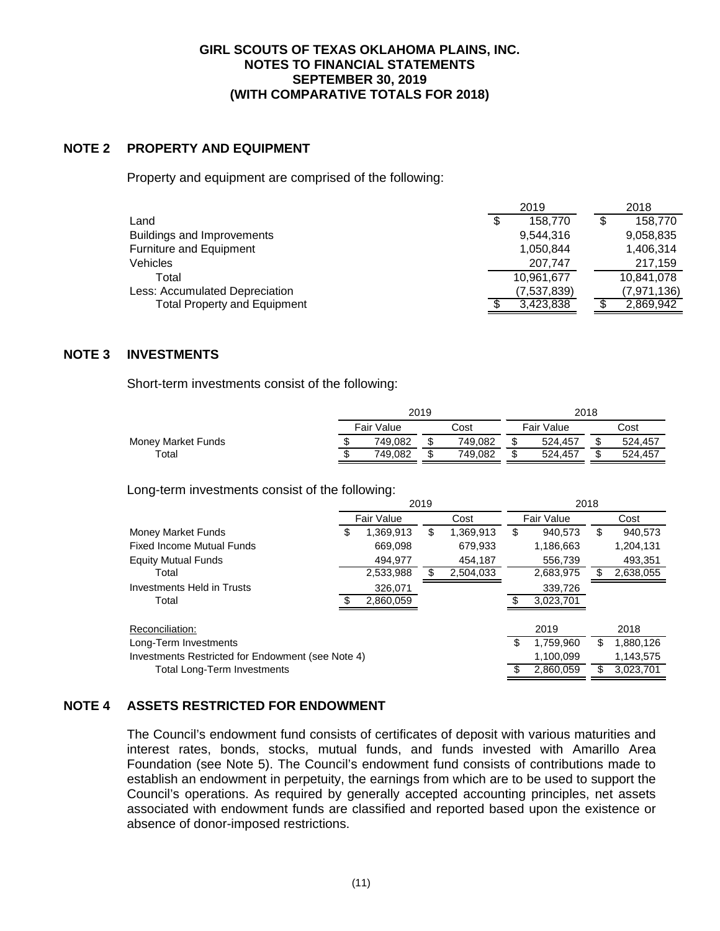## **NOTE 2 PROPERTY AND EQUIPMENT**

Property and equipment are comprised of the following:

|                                     | 2019          |   | 2018        |
|-------------------------------------|---------------|---|-------------|
| Land                                | \$<br>158.770 | S | 158.770     |
| Buildings and Improvements          | 9,544,316     |   | 9,058,835   |
| Furniture and Equipment             | 1,050,844     |   | 1,406,314   |
| Vehicles                            | 207,747       |   | 217,159     |
| Total                               | 10,961,677    |   | 10,841,078  |
| Less: Accumulated Depreciation      | (7,537,839)   |   | (7,971,136) |
| <b>Total Property and Equipment</b> | 3,423,838     |   | 2,869,942   |

## **NOTE 3 INVESTMENTS**

Short-term investments consist of the following:

|                    |     | 2019       |    |         |   | 2018       |      |         |  |  |
|--------------------|-----|------------|----|---------|---|------------|------|---------|--|--|
|                    |     | Fair Value |    | Cost    |   | Fair Value | Cost |         |  |  |
| Money Market Funds | ιIJ | 749.082    | Jэ | 749.082 | J | 524.457    |      | 524.457 |  |  |
| $\tau$ otal        | ۰D  | 749.082    | Jэ | 749.082 | ◡ | 524.457    |      | 524.457 |  |  |

#### Long-term investments consist of the following:

|                                                   | 2019 |                   |    |           | 2018      |            |           |           |  |
|---------------------------------------------------|------|-------------------|----|-----------|-----------|------------|-----------|-----------|--|
|                                                   |      | <b>Fair Value</b> |    | Cost      |           | Fair Value |           | Cost      |  |
| Money Market Funds                                | \$   | 1,369,913         | \$ | 1,369,913 | \$        | 940,573    | S         | 940,573   |  |
| <b>Fixed Income Mutual Funds</b>                  |      | 669,098           |    | 679,933   |           | 1,186,663  |           | 1,204,131 |  |
| <b>Equity Mutual Funds</b>                        |      | 494.977           |    | 454,187   |           | 556,739    |           | 493,351   |  |
| Total                                             |      | 2,533,988         |    | 2,504,033 |           | 2,683,975  | \$        | 2,638,055 |  |
| Investments Held in Trusts                        |      | 326,071           |    |           |           | 339,726    |           |           |  |
| Total                                             |      | 2.860.059         |    |           |           | 3.023.701  |           |           |  |
|                                                   |      |                   |    |           |           |            |           |           |  |
| Reconciliation:                                   |      |                   |    |           |           | 2019       |           | 2018      |  |
| Long-Term Investments                             |      |                   |    |           | \$.       | 1,759,960  | \$        | 1,880,126 |  |
| Investments Restricted for Endowment (see Note 4) |      |                   |    |           | 1,100,099 |            | 1,143,575 |           |  |
| <b>Total Long-Term Investments</b>                |      |                   |    |           |           | 2,860,059  |           | 3,023,701 |  |

## **NOTE 4 ASSETS RESTRICTED FOR ENDOWMENT**

The Council's endowment fund consists of certificates of deposit with various maturities and interest rates, bonds, stocks, mutual funds, and funds invested with Amarillo Area Foundation (see Note 5). The Council's endowment fund consists of contributions made to establish an endowment in perpetuity, the earnings from which are to be used to support the Council's operations. As required by generally accepted accounting principles, net assets associated with endowment funds are classified and reported based upon the existence or absence of donor-imposed restrictions.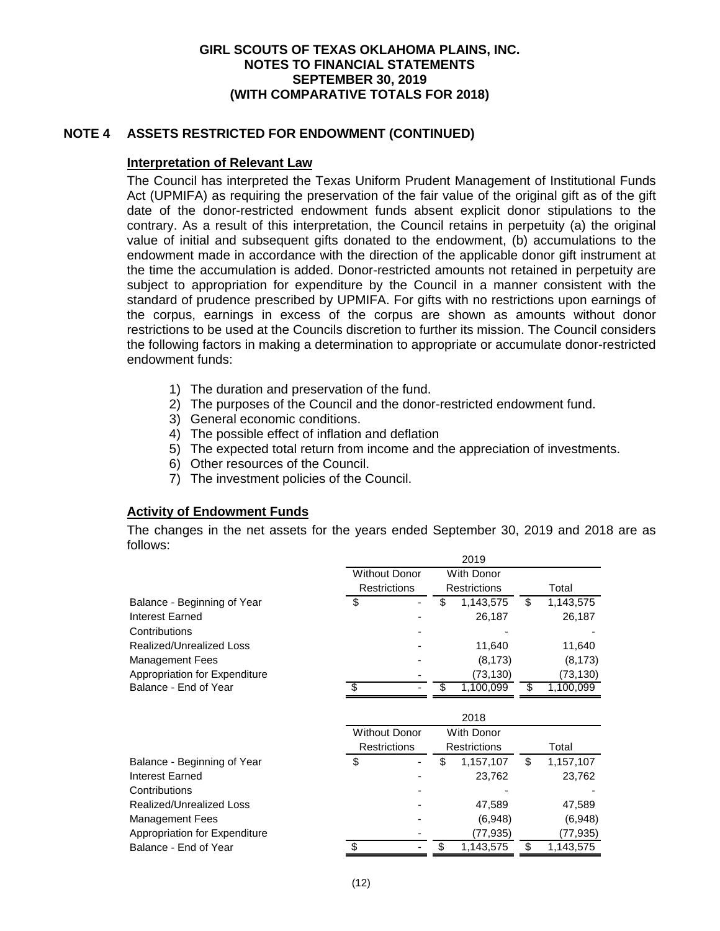## **NOTE 4 ASSETS RESTRICTED FOR ENDOWMENT (CONTINUED)**

#### **Interpretation of Relevant Law**

The Council has interpreted the Texas Uniform Prudent Management of Institutional Funds Act (UPMIFA) as requiring the preservation of the fair value of the original gift as of the gift date of the donor-restricted endowment funds absent explicit donor stipulations to the contrary. As a result of this interpretation, the Council retains in perpetuity (a) the original value of initial and subsequent gifts donated to the endowment, (b) accumulations to the endowment made in accordance with the direction of the applicable donor gift instrument at the time the accumulation is added. Donor-restricted amounts not retained in perpetuity are subject to appropriation for expenditure by the Council in a manner consistent with the standard of prudence prescribed by UPMIFA. For gifts with no restrictions upon earnings of the corpus, earnings in excess of the corpus are shown as amounts without donor restrictions to be used at the Councils discretion to further its mission. The Council considers the following factors in making a determination to appropriate or accumulate donor-restricted endowment funds:

- 1) The duration and preservation of the fund.
- 2) The purposes of the Council and the donor-restricted endowment fund.
- 3) General economic conditions.
- 4) The possible effect of inflation and deflation
- 5) The expected total return from income and the appreciation of investments.
- 6) Other resources of the Council.
- 7) The investment policies of the Council.

#### **Activity of Endowment Funds**

The changes in the net assets for the years ended September 30, 2019 and 2018 are as follows:  $2010$ 

|                               |                      | ∠ບ⊺ອ                |                 |
|-------------------------------|----------------------|---------------------|-----------------|
|                               | <b>Without Donor</b> | <b>With Donor</b>   |                 |
|                               | Restrictions         | <b>Restrictions</b> | Total           |
| Balance - Beginning of Year   | \$                   | \$<br>1,143,575     | \$<br>1,143,575 |
| Interest Earned               |                      | 26,187              | 26,187          |
| Contributions                 |                      |                     |                 |
| Realized/Unrealized Loss      |                      | 11,640              | 11,640          |
| <b>Management Fees</b>        |                      | (8, 173)            | (8, 173)        |
| Appropriation for Expenditure |                      | (73, 130)           | (73, 130)       |
| Balance - End of Year         | \$                   | \$<br>1,100,099     | \$<br>1,100,099 |
|                               |                      |                     |                 |
|                               |                      |                     |                 |
|                               |                      | 2018                |                 |
|                               | <b>Without Donor</b> | <b>With Donor</b>   |                 |
|                               | Restrictions         | <b>Restrictions</b> | Total           |
| Balance - Beginning of Year   | \$                   | \$<br>1,157,107     | \$<br>1,157,107 |
| Interest Earned               |                      | 23,762              | 23,762          |
| Contributions                 |                      |                     |                 |
| Realized/Unrealized Loss      |                      | 47,589              | 47,589          |
| <b>Management Fees</b>        |                      | (6,948)             | (6,948)         |
| Appropriation for Expenditure |                      | (77,935)            | (77,935)        |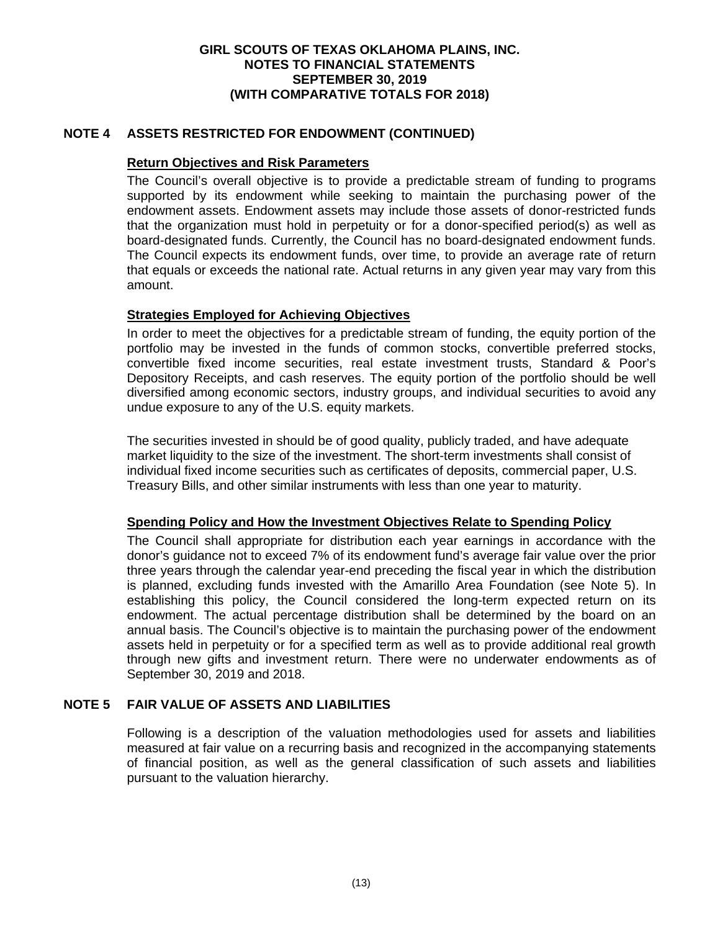## **NOTE 4 ASSETS RESTRICTED FOR ENDOWMENT (CONTINUED)**

#### **Return Objectives and Risk Parameters**

The Council's overall objective is to provide a predictable stream of funding to programs supported by its endowment while seeking to maintain the purchasing power of the endowment assets. Endowment assets may include those assets of donor-restricted funds that the organization must hold in perpetuity or for a donor-specified period(s) as well as board-designated funds. Currently, the Council has no board-designated endowment funds. The Council expects its endowment funds, over time, to provide an average rate of return that equals or exceeds the national rate. Actual returns in any given year may vary from this amount.

## **Strategies Employed for Achieving Objectives**

In order to meet the objectives for a predictable stream of funding, the equity portion of the portfolio may be invested in the funds of common stocks, convertible preferred stocks, convertible fixed income securities, real estate investment trusts, Standard & Poor's Depository Receipts, and cash reserves. The equity portion of the portfolio should be well diversified among economic sectors, industry groups, and individual securities to avoid any undue exposure to any of the U.S. equity markets.

The securities invested in should be of good quality, publicly traded, and have adequate market liquidity to the size of the investment. The short-term investments shall consist of individual fixed income securities such as certificates of deposits, commercial paper, U.S. Treasury Bills, and other similar instruments with less than one year to maturity.

#### **Spending Policy and How the Investment Objectives Relate to Spending Policy**

The Council shall appropriate for distribution each year earnings in accordance with the donor's guidance not to exceed 7% of its endowment fund's average fair value over the prior three years through the calendar year-end preceding the fiscal year in which the distribution is planned, excluding funds invested with the Amarillo Area Foundation (see Note 5). In establishing this policy, the Council considered the long-term expected return on its endowment. The actual percentage distribution shall be determined by the board on an annual basis. The Council's objective is to maintain the purchasing power of the endowment assets held in perpetuity or for a specified term as well as to provide additional real growth through new gifts and investment return. There were no underwater endowments as of September 30, 2019 and 2018.

## **NOTE 5 FAIR VALUE OF ASSETS AND LIABILITIES**

Following is a description of the vaIuation methodologies used for assets and liabilities measured at fair value on a recurring basis and recognized in the accompanying statements of financial position, as well as the general classification of such assets and liabilities pursuant to the valuation hierarchy.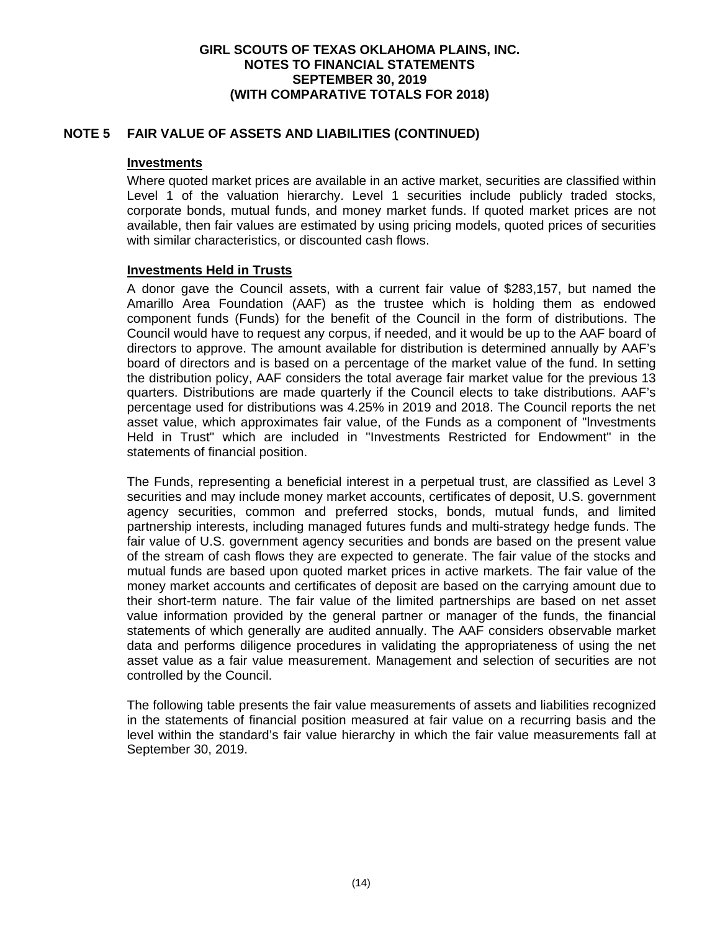## **NOTE 5 FAIR VALUE OF ASSETS AND LIABILITIES (CONTINUED)**

#### **Investments**

Where quoted market prices are available in an active market, securities are classified within Level 1 of the valuation hierarchy. Level 1 securities include publicly traded stocks, corporate bonds, mutual funds, and money market funds. If quoted market prices are not available, then fair values are estimated by using pricing models, quoted prices of securities with similar characteristics, or discounted cash flows.

#### **Investments Held in Trusts**

A donor gave the Council assets, with a current fair value of \$283,157, but named the Amarillo Area Foundation (AAF) as the trustee which is holding them as endowed component funds (Funds) for the benefit of the Council in the form of distributions. The Council would have to request any corpus, if needed, and it would be up to the AAF board of directors to approve. The amount available for distribution is determined annually by AAF's board of directors and is based on a percentage of the market value of the fund. In setting the distribution policy, AAF considers the total average fair market value for the previous 13 quarters. Distributions are made quarterly if the Council elects to take distributions. AAF's percentage used for distributions was 4.25% in 2019 and 2018. The Council reports the net asset value, which approximates fair value, of the Funds as a component of "lnvestments Held in Trust" which are included in "Investments Restricted for Endowment" in the statements of financial position.

The Funds, representing a beneficial interest in a perpetual trust, are classified as Level 3 securities and may include money market accounts, certificates of deposit, U.S. government agency securities, common and preferred stocks, bonds, mutual funds, and limited partnership interests, including managed futures funds and multi-strategy hedge funds. The fair value of U.S. government agency securities and bonds are based on the present value of the stream of cash flows they are expected to generate. The fair value of the stocks and mutual funds are based upon quoted market prices in active markets. The fair value of the money market accounts and certificates of deposit are based on the carrying amount due to their short-term nature. The fair value of the limited partnerships are based on net asset value information provided by the general partner or manager of the funds, the financial statements of which generally are audited annually. The AAF considers observable market data and performs diligence procedures in validating the appropriateness of using the net asset value as a fair value measurement. Management and selection of securities are not controlled by the Council.

The following table presents the fair value measurements of assets and liabilities recognized in the statements of financial position measured at fair value on a recurring basis and the level within the standard's fair value hierarchy in which the fair value measurements fall at September 30, 2019.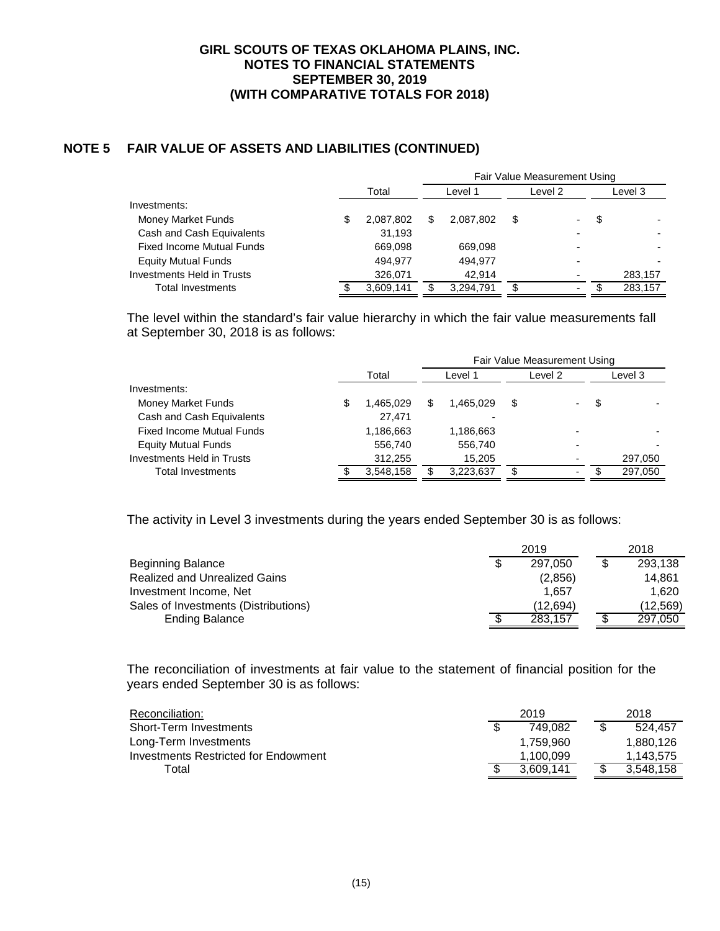## **NOTE 5 FAIR VALUE OF ASSETS AND LIABILITIES (CONTINUED)**

|                                   |                 |   |           |    | Fair Value Measurement Using |    |         |
|-----------------------------------|-----------------|---|-----------|----|------------------------------|----|---------|
|                                   | Total           |   | Level 1   |    | Level 2                      |    | Level 3 |
| Investments:                      |                 |   |           |    |                              |    |         |
| Money Market Funds                | \$<br>2,087,802 | S | 2.087.802 | S  | ۰                            | \$ |         |
| Cash and Cash Equivalents         | 31.193          |   |           |    | ۰                            |    |         |
| <b>Fixed Income Mutual Funds</b>  | 669,098         |   | 669,098   |    | ۰                            |    |         |
| <b>Equity Mutual Funds</b>        | 494.977         |   | 494.977   |    | ۰                            |    |         |
| <b>Investments Held in Trusts</b> | 326,071         |   | 42.914    |    |                              |    | 283,157 |
| <b>Total Investments</b>          | 3,609,141       |   | 3,294,791 | \$ | ٠                            | S. | 283.157 |

The level within the standard's fair value hierarchy in which the fair value measurements fall at September 30, 2018 is as follows:

|                                   |       |           |   |           |    | Fair Value Measurement Using |    |         |
|-----------------------------------|-------|-----------|---|-----------|----|------------------------------|----|---------|
|                                   | Total |           |   | Level 1   |    | Level 2                      |    | Level 3 |
| Investments:                      |       |           |   |           |    |                              |    |         |
| <b>Money Market Funds</b>         | \$    | 1.465.029 | S | 1.465.029 | -S | ۰.                           | \$ |         |
| Cash and Cash Equivalents         |       | 27.471    |   |           |    |                              |    |         |
| <b>Fixed Income Mutual Funds</b>  |       | 1,186,663 |   | 1,186,663 |    | $\overline{\phantom{0}}$     |    |         |
| <b>Equity Mutual Funds</b>        |       | 556,740   |   | 556,740   |    |                              |    |         |
| <b>Investments Held in Trusts</b> |       | 312,255   |   | 15.205    |    |                              |    | 297,050 |
| <b>Total Investments</b>          |       | 3,548,158 |   | 3,223,637 | \$ | ٠                            |    | 297,050 |

The activity in Level 3 investments during the years ended September 30 is as follows:

|                                      | 2019     | 2018          |
|--------------------------------------|----------|---------------|
| <b>Beginning Balance</b>             | 297.050  | \$<br>293,138 |
| <b>Realized and Unrealized Gains</b> | (2,856)  | 14.861        |
| Investment Income, Net               | 1.657    | 1.620         |
| Sales of Investments (Distributions) | (12.694) | (12,569)      |
| <b>Ending Balance</b>                | 283.157  | \$<br>297,050 |

The reconciliation of investments at fair value to the statement of financial position for the years ended September 30 is as follows:

| Reconciliation:                      | 2019      | 2018      |
|--------------------------------------|-----------|-----------|
| <b>Short-Term Investments</b>        | 749.082   | 524.457   |
| Long-Term Investments                | 1.759.960 | 1,880,126 |
| Investments Restricted for Endowment | 1.100.099 | 1,143,575 |
| Total                                | 3.609.141 | 3.548.158 |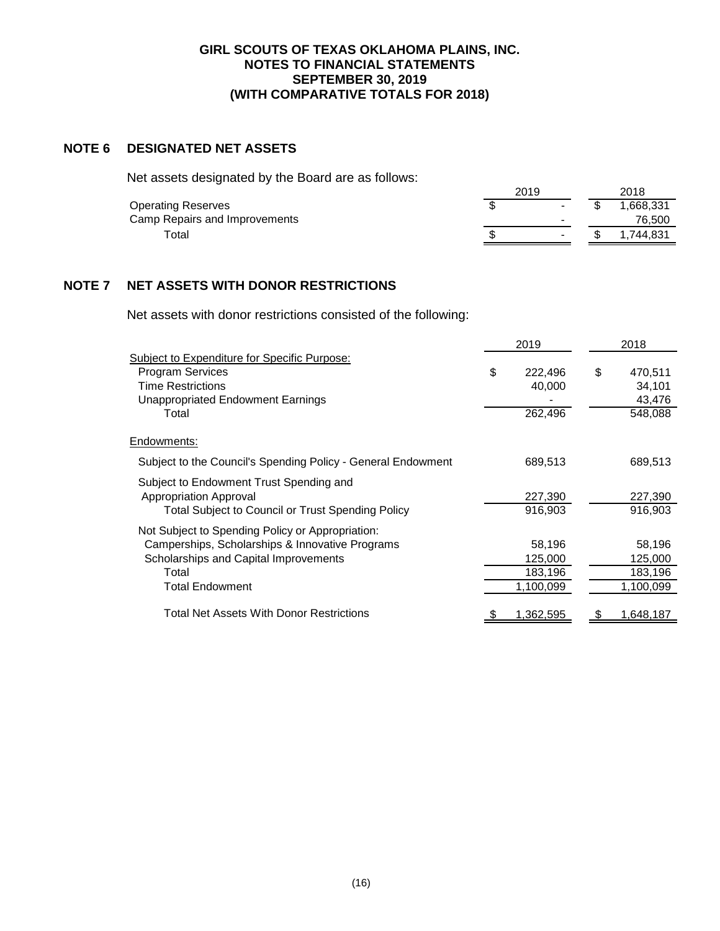## **NOTE 6 DESIGNATED NET ASSETS**

Net assets designated by the Board are as follows:

|                               | 2019 |                          | 2018      |
|-------------------------------|------|--------------------------|-----------|
| <b>Operating Reserves</b>     |      | $\overline{\phantom{a}}$ | 1.668.331 |
| Camp Repairs and Improvements |      | -                        | 76.500    |
| $\tau$ otal                   |      | $\qquad \qquad$          | .744.831  |
|                               |      |                          |           |

## **NOTE 7 NET ASSETS WITH DONOR RESTRICTIONS**

Net assets with donor restrictions consisted of the following:

|                                                              | 2019 |                  | 2018 |                  |
|--------------------------------------------------------------|------|------------------|------|------------------|
| Subject to Expenditure for Specific Purpose:                 |      |                  |      |                  |
| <b>Program Services</b>                                      | \$   | 222,496          | \$   | 470,511          |
| <b>Time Restrictions</b>                                     |      | 40,000           |      | 34,101           |
| <b>Unappropriated Endowment Earnings</b>                     |      |                  |      | 43,476           |
| Total                                                        |      | 262,496          |      | 548,088          |
| Endowments:                                                  |      |                  |      |                  |
| Subject to the Council's Spending Policy - General Endowment |      | 689,513          |      | 689,513          |
| Subject to Endowment Trust Spending and                      |      |                  |      |                  |
| Appropriation Approval                                       |      | 227,390          |      | 227,390          |
| <b>Total Subject to Council or Trust Spending Policy</b>     |      | 916,903          |      | 916,903          |
| Not Subject to Spending Policy or Appropriation:             |      |                  |      |                  |
| Camperships, Scholarships & Innovative Programs              |      | 58,196           |      | 58,196           |
| Scholarships and Capital Improvements                        |      | 125,000          |      | 125,000          |
| Total                                                        |      | 183,196          |      | 183,196          |
| <b>Total Endowment</b>                                       |      | 1,100,099        |      | 1,100,099        |
| Total Net Assets With Donor Restrictions                     |      | <u>1,362,595</u> | \$   | <u>1,648,187</u> |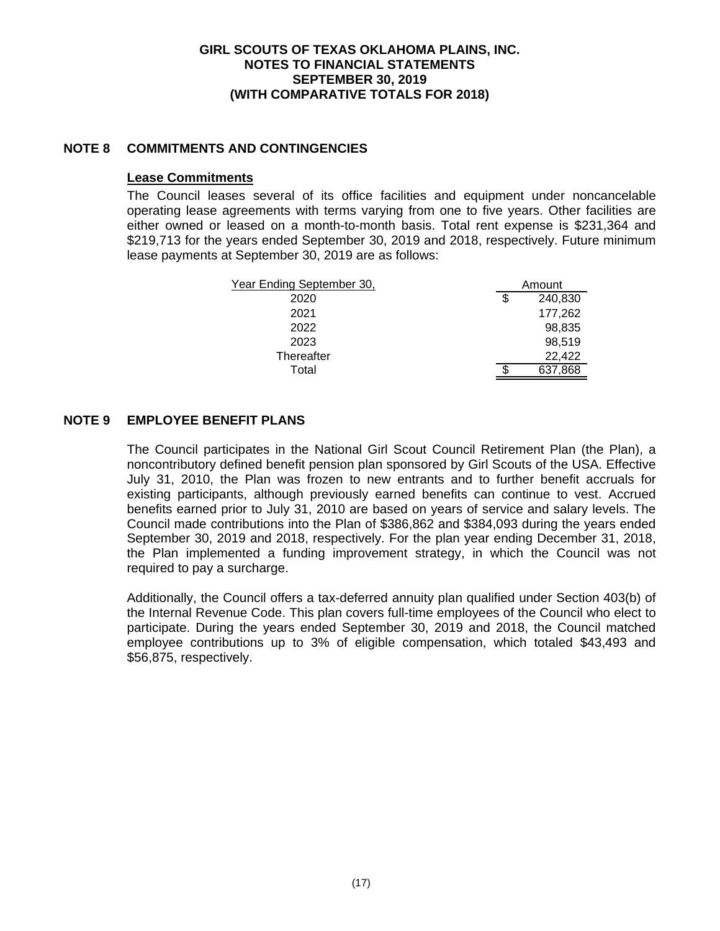## **NOTE 8 COMMITMENTS AND CONTINGENCIES**

#### **Lease Commitments**

The Council leases several of its office facilities and equipment under noncancelable operating lease agreements with terms varying from one to five years. Other facilities are either owned or leased on a month-to-month basis. Total rent expense is \$231,364 and \$219,713 for the years ended September 30, 2019 and 2018, respectively. Future minimum lease payments at September 30, 2019 are as follows:

| Year Ending September 30, | Amount        |  |  |
|---------------------------|---------------|--|--|
| 2020                      | \$<br>240,830 |  |  |
| 2021                      | 177,262       |  |  |
| 2022                      | 98,835        |  |  |
| 2023                      | 98,519        |  |  |
| Thereafter                | 22,422        |  |  |
| Total                     | 637,868       |  |  |

## **NOTE 9 EMPLOYEE BENEFIT PLANS**

The Council participates in the National Girl Scout Council Retirement Plan (the Plan), a noncontributory defined benefit pension plan sponsored by Girl Scouts of the USA. Effective July 31, 2010, the Plan was frozen to new entrants and to further benefit accruals for existing participants, although previously earned benefits can continue to vest. Accrued benefits earned prior to July 31, 2010 are based on years of service and salary levels. The Council made contributions into the Plan of \$386,862 and \$384,093 during the years ended September 30, 2019 and 2018, respectively. For the plan year ending December 31, 2018, the Plan implemented a funding improvement strategy, in which the Council was not required to pay a surcharge.

Additionally, the Council offers a tax-deferred annuity plan qualified under Section 403(b) of the Internal Revenue Code. This plan covers full-time employees of the Council who elect to participate. During the years ended September 30, 2019 and 2018, the Council matched employee contributions up to 3% of eligible compensation, which totaled \$43,493 and \$56,875, respectively.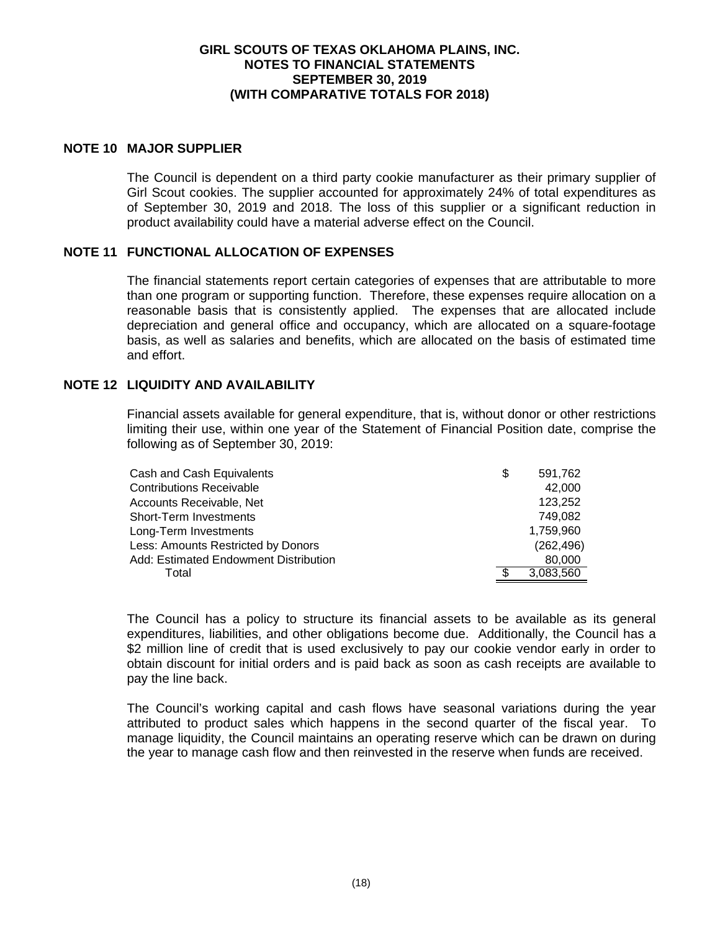#### **NOTE 10 MAJOR SUPPLIER**

The Council is dependent on a third party cookie manufacturer as their primary supplier of Girl Scout cookies. The supplier accounted for approximately 24% of total expenditures as of September 30, 2019 and 2018. The loss of this supplier or a significant reduction in product availability could have a material adverse effect on the Council.

## **NOTE 11 FUNCTIONAL ALLOCATION OF EXPENSES**

The financial statements report certain categories of expenses that are attributable to more than one program or supporting function. Therefore, these expenses require allocation on a reasonable basis that is consistently applied. The expenses that are allocated include depreciation and general office and occupancy, which are allocated on a square-footage basis, as well as salaries and benefits, which are allocated on the basis of estimated time and effort.

## **NOTE 12 LIQUIDITY AND AVAILABILITY**

Financial assets available for general expenditure, that is, without donor or other restrictions limiting their use, within one year of the Statement of Financial Position date, comprise the following as of September 30, 2019:

| <b>Contributions Receivable</b><br>Accounts Receivable, Net<br>Short-Term Investments | 591,762    |
|---------------------------------------------------------------------------------------|------------|
|                                                                                       | 42,000     |
|                                                                                       | 123,252    |
|                                                                                       | 749.082    |
| Long-Term Investments                                                                 | 1,759,960  |
| Less: Amounts Restricted by Donors                                                    | (262, 496) |
| Add: Estimated Endowment Distribution                                                 | 80,000     |
| Total                                                                                 | 3,083,560  |

The Council has a policy to structure its financial assets to be available as its general expenditures, liabilities, and other obligations become due. Additionally, the Council has a \$2 million line of credit that is used exclusively to pay our cookie vendor early in order to obtain discount for initial orders and is paid back as soon as cash receipts are available to pay the line back.

The Council's working capital and cash flows have seasonal variations during the year attributed to product sales which happens in the second quarter of the fiscal year. To manage liquidity, the Council maintains an operating reserve which can be drawn on during the year to manage cash flow and then reinvested in the reserve when funds are received.